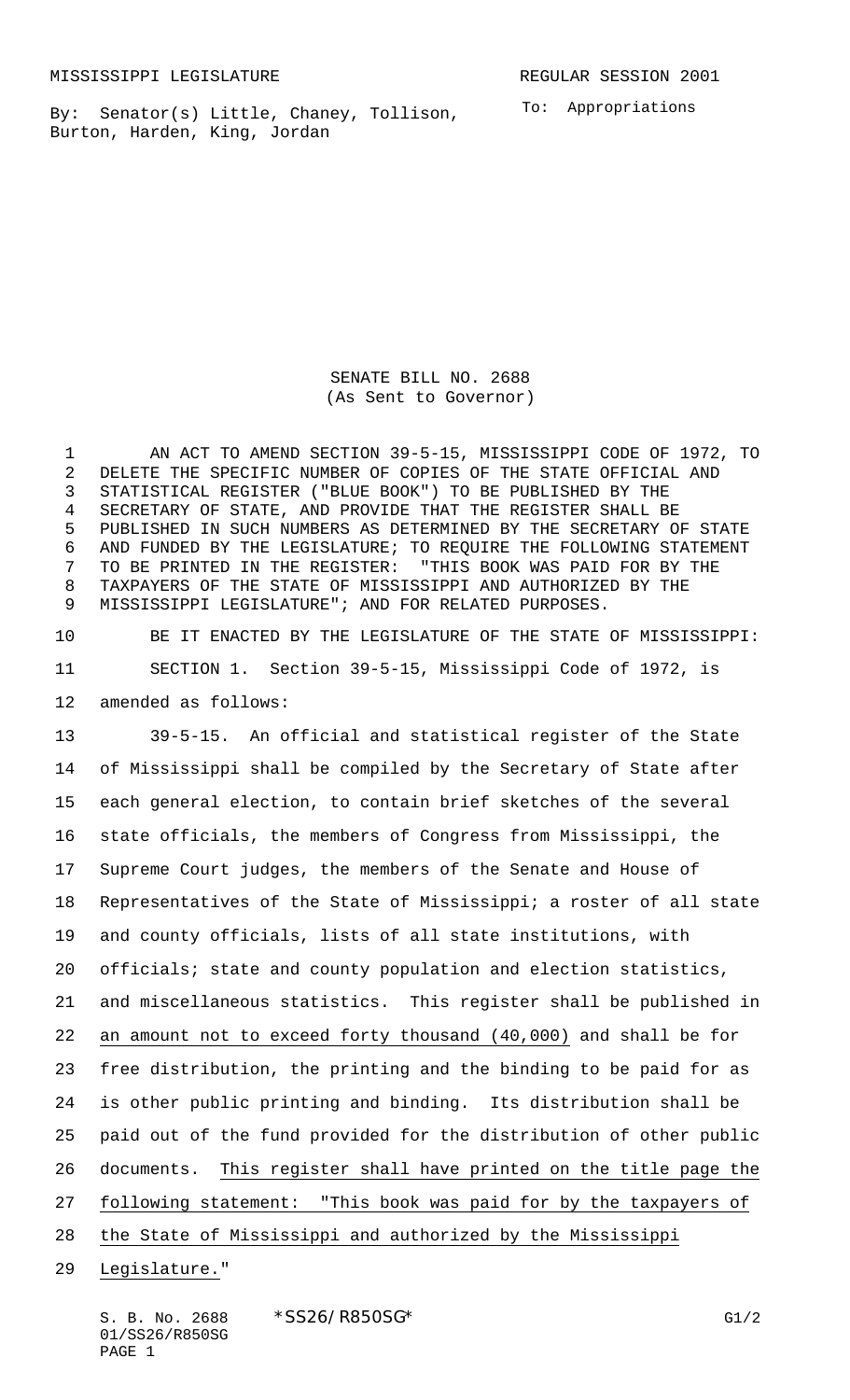By: Senator(s) Little, Chaney, Tollison, Burton, Harden, King, Jordan

To: Appropriations

SENATE BILL NO. 2688 (As Sent to Governor)

 AN ACT TO AMEND SECTION 39-5-15, MISSISSIPPI CODE OF 1972, TO DELETE THE SPECIFIC NUMBER OF COPIES OF THE STATE OFFICIAL AND STATISTICAL REGISTER ("BLUE BOOK") TO BE PUBLISHED BY THE SECRETARY OF STATE, AND PROVIDE THAT THE REGISTER SHALL BE PUBLISHED IN SUCH NUMBERS AS DETERMINED BY THE SECRETARY OF STATE AND FUNDED BY THE LEGISLATURE; TO REQUIRE THE FOLLOWING STATEMENT TO BE PRINTED IN THE REGISTER: "THIS BOOK WAS PAID FOR BY THE TAXPAYERS OF THE STATE OF MISSISSIPPI AND AUTHORIZED BY THE MISSISSIPPI LEGISLATURE"; AND FOR RELATED PURPOSES.

 BE IT ENACTED BY THE LEGISLATURE OF THE STATE OF MISSISSIPPI: SECTION 1. Section 39-5-15, Mississippi Code of 1972, is amended as follows:

 39-5-15. An official and statistical register of the State of Mississippi shall be compiled by the Secretary of State after each general election, to contain brief sketches of the several state officials, the members of Congress from Mississippi, the Supreme Court judges, the members of the Senate and House of Representatives of the State of Mississippi; a roster of all state and county officials, lists of all state institutions, with officials; state and county population and election statistics, and miscellaneous statistics. This register shall be published in an amount not to exceed forty thousand (40,000) and shall be for free distribution, the printing and the binding to be paid for as is other public printing and binding. Its distribution shall be paid out of the fund provided for the distribution of other public documents. This register shall have printed on the title page the 27 following statement: "This book was paid for by the taxpayers of 28 the State of Mississippi and authorized by the Mississippi

Legislature."